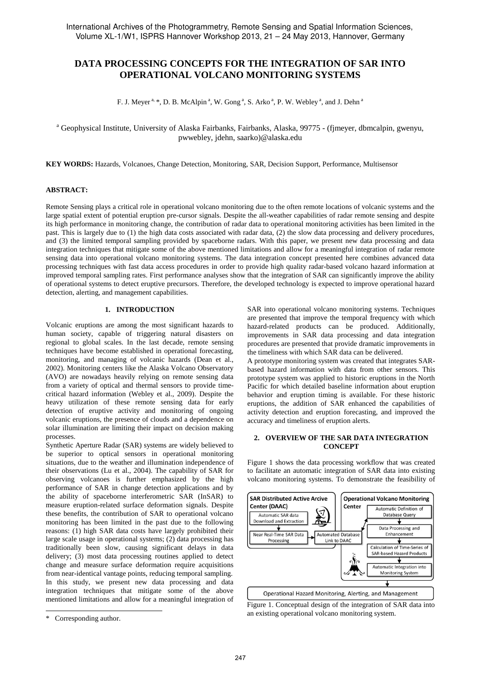# **DATA PROCESSING CONCEPTS FOR THE INTEGRATION OF SAR INTO OPERATIONAL VOLCANO MONITORING SYSTEMS**

F. J. Meyer<sup>a, \*</sup>, D. B. McAlpin<sup>a</sup>, W. Gong<sup>a</sup>, S. Arko<sup>a</sup>, P. W. Webley<sup>a</sup>, and J. Dehn<sup>a</sup>

<sup>a</sup> Geophysical Institute, University of Alaska Fairbanks, Fairbanks, Alaska, 99775 - (fjmeyer, dbmcalpin, gwenyu, pwwebley, jdehn, saarko)@alaska.edu

**KEY WORDS:** Hazards, Volcanoes, Change Detection, Monitoring, SAR, Decision Support, Performance, Multisensor

#### **ABSTRACT:**

Remote Sensing plays a critical role in operational volcano monitoring due to the often remote locations of volcanic systems and the large spatial extent of potential eruption pre-cursor signals. Despite the all-weather capabilities of radar remote sensing and despite its high performance in monitoring change, the contribution of radar data to operational monitoring activities has been limited in the past. This is largely due to (1) the high data costs associated with radar data, (2) the slow data processing and delivery procedures, and (3) the limited temporal sampling provided by spaceborne radars. With this paper, we present new data processing and data integration techniques that mitigate some of the above mentioned limitations and allow for a meaningful integration of radar remote sensing data into operational volcano monitoring systems. The data integration concept presented here combines advanced data processing techniques with fast data access procedures in order to provide high quality radar-based volcano hazard information at improved temporal sampling rates. First performance analyses show that the integration of SAR can significantly improve the ability of operational systems to detect eruptive precursors. Therefore, the developed technology is expected to improve operational hazard detection, alerting, and management capabilities.

## **1. INTRODUCTION**

Volcanic eruptions are among the most significant hazards to human society, capable of triggering natural disasters on regional to global scales. In the last decade, remote sensing techniques have become established in operational forecasting, monitoring, and managing of volcanic hazards (Dean et al., 2002). Monitoring centers like the Alaska Volcano Observatory (AVO) are nowadays heavily relying on remote sensing data from a variety of optical and thermal sensors to provide timecritical hazard information (Webley et al., 2009). Despite the heavy utilization of these remote sensing data for early detection of eruptive activity and monitoring of ongoing volcanic eruptions, the presence of clouds and a dependence on solar illumination are limiting their impact on decision making processes.

Synthetic Aperture Radar (SAR) systems are widely believed to be superior to optical sensors in operational monitoring situations, due to the weather and illumination independence of their observations (Lu et al., 2004). The capability of SAR for observing volcanoes is further emphasized by the high performance of SAR in change detection applications and by the ability of spaceborne interferometric SAR (InSAR) to measure eruption-related surface deformation signals. Despite these benefits, the contribution of SAR to operational volcano monitoring has been limited in the past due to the following reasons: (1) high SAR data costs have largely prohibited their large scale usage in operational systems; (2) data processing has traditionally been slow, causing significant delays in data delivery; (3) most data processing routines applied to detect change and measure surface deformation require acquisitions from near-identical vantage points, reducing temporal sampling. In this study, we present new data processing and data integration techniques that mitigate some of the above mentioned limitations and allow for a meaningful integration of

 $\overline{a}$ 

SAR into operational volcano monitoring systems. Techniques are presented that improve the temporal frequency with which hazard-related products can be produced. Additionally, improvements in SAR data processing and data integration procedures are presented that provide dramatic improvements in the timeliness with which SAR data can be delivered.

A prototype monitoring system was created that integrates SARbased hazard information with data from other sensors. This prototype system was applied to historic eruptions in the North Pacific for which detailed baseline information about eruption behavior and eruption timing is available. For these historic eruptions, the addition of SAR enhanced the capabilities of activity detection and eruption forecasting, and improved the accuracy and timeliness of eruption alerts.

## **2. OVERVIEW OF THE SAR DATA INTEGRATION CONCEPT**

Figure 1 shows the data processing workflow that was created to facilitate an automatic integration of SAR data into existing volcano monitoring systems. To demonstrate the feasibility of



Figure 1. Conceptual design of the integration of SAR data into an existing operational volcano monitoring system.

<sup>\*</sup> Corresponding author.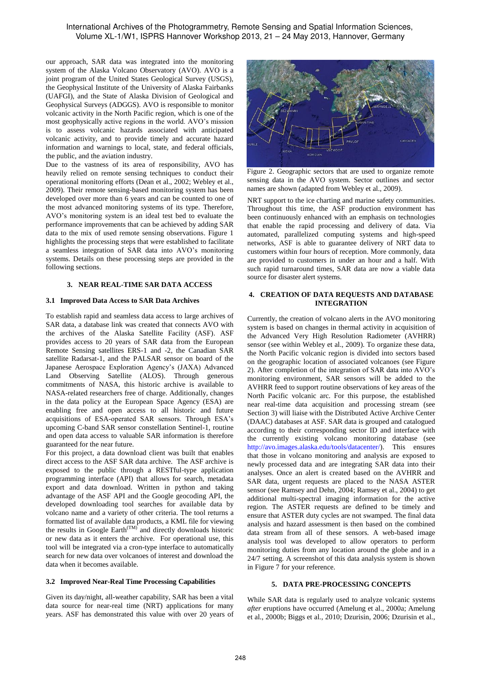## International Archives of the Photogrammetry, Remote Sensing and Spatial Information Sciences, Volume XL-1/W1, ISPRS Hannover Workshop 2013, 21 – 24 May 2013, Hannover, Germany

our approach, SAR data was integrated into the monitoring system of the Alaska Volcano Observatory (AVO). AVO is a joint program of the United States Geological Survey (USGS), the Geophysical Institute of the University of Alaska Fairbanks (UAFGI), and the State of Alaska Division of Geological and Geophysical Surveys (ADGGS). AVO is responsible to monitor volcanic activity in the North Pacific region, which is one of the most geophysically active regions in the world. AVO's mission is to assess volcanic hazards associated with anticipated volcanic activity, and to provide timely and accurate hazard information and warnings to local, state, and federal officials, the public, and the aviation industry.

Due to the vastness of its area of responsibility, AVO has heavily relied on remote sensing techniques to conduct their operational monitoring efforts (Dean et al., 2002; Webley et al., 2009). Their remote sensing-based monitoring system has been developed over more than 6 years and can be counted to one of the most advanced monitoring systems of its type. Therefore, AVO's monitoring system is an ideal test bed to evaluate the performance improvements that can be achieved by adding SAR data to the mix of used remote sensing observations. Figure 1 highlights the processing steps that were established to facilitate a seamless integration of SAR data into AVO's monitoring systems. Details on these processing steps are provided in the following sections.

#### **3. NEAR REAL-TIME SAR DATA ACCESS**

#### **3.1 Improved Data Access to SAR Data Archives**

To establish rapid and seamless data access to large archives of SAR data, a database link was created that connects AVO with the archives of the Alaska Satellite Facility (ASF). ASF provides access to 20 years of SAR data from the European Remote Sensing satellites ERS-1 and -2, the Canadian SAR satellite Radarsat-1, and the PALSAR sensor on board of the Japanese Aerospace Exploration Agency's (JAXA) Advanced Land Observing Satellite (ALOS). Through generous commitments of NASA, this historic archive is available to NASA-related researchers free of charge. Additionally, changes in the data policy at the European Space Agency (ESA) are enabling free and open access to all historic and future acquisitions of ESA-operated SAR sensors. Through ESA's upcoming C-band SAR sensor constellation Sentinel-1, routine and open data access to valuable SAR information is therefore guaranteed for the near future.

For this project, a data download client was built that enables direct access to the ASF SAR data archive. The ASF archive is exposed to the public through a RESTful-type application programming interface (API) that allows for search, metadata export and data download. Written in python and taking advantage of the ASF API and the Google geocoding API, the developed downloading tool searches for available data by volcano name and a variety of other criteria. The tool returns a formatted list of available data products, a KML file for viewing the results in Google Earth<sup> $(TM)$ </sup> and directly downloads historic or new data as it enters the archive. For operational use, this tool will be integrated via a cron-type interface to automatically search for new data over volcanoes of interest and download the data when it becomes available.

#### **3.2 Improved Near-Real Time Processing Capabilities**

Given its day/night, all-weather capability, SAR has been a vital data source for near-real time (NRT) applications for many years. ASF has demonstrated this value with over 20 years of



Figure 2. Geographic sectors that are used to organize remote sensing data in the AVO system. Sector outlines and sector names are shown (adapted from Webley et al., 2009).

NRT support to the ice charting and marine safety communities. Throughout this time, the ASF production environment has been continuously enhanced with an emphasis on technologies that enable the rapid processing and delivery of data. Via automated, parallelized computing systems and high-speed networks, ASF is able to guarantee delivery of NRT data to customers within four hours of reception. More commonly, data are provided to customers in under an hour and a half. With such rapid turnaround times, SAR data are now a viable data source for disaster alert systems.

#### **4. CREATION OF DATA REQUESTS AND DATABASE INTEGRATION**

Currently, the creation of volcano alerts in the AVO monitoring system is based on changes in thermal activity in acquisition of the Advanced Very High Resolution Radiometer (AVHRR) sensor (see within Webley et al., 2009). To organize these data, the North Pacific volcanic region is divided into sectors based on the geographic location of associated volcanoes (see Figure 2). After completion of the integration of SAR data into AVO's monitoring environment, SAR sensors will be added to the AVHRR feed to support routine observations of key areas of the North Pacific volcanic arc. For this purpose, the established near real-time data acquisition and processing stream (see Section 3) will liaise with the Distributed Active Archive Center (DAAC) databases at ASF. SAR data is grouped and catalogued according to their corresponding sector ID and interface with the currently existing volcano monitoring database (see http://avo.images.alaska.edu/tools/datacenter/). This ensures that those in volcano monitoring and analysis are exposed to newly processed data and are integrating SAR data into their analyses. Once an alert is created based on the AVHRR and SAR data, urgent requests are placed to the NASA ASTER sensor (see Ramsey and Dehn, 2004; Ramsey et al., 2004) to get additional multi-spectral imaging information for the active region. The ASTER requests are defined to be timely and ensure that ASTER duty cycles are not swamped. The final data analysis and hazard assessment is then based on the combined data stream from all of these sensors. A web-based image analysis tool was developed to allow operators to perform monitoring duties from any location around the globe and in a 24/7 setting. A screenshot of this data analysis system is shown in Figure 7 for your reference.

#### **5. DATA PRE-PROCESSING CONCEPTS**

While SAR data is regularly used to analyze volcanic systems *after* eruptions have occurred (Amelung et al., 2000a; Amelung et al., 2000b; Biggs et al., 2010; Dzurisin, 2006; Dzurisin et al.,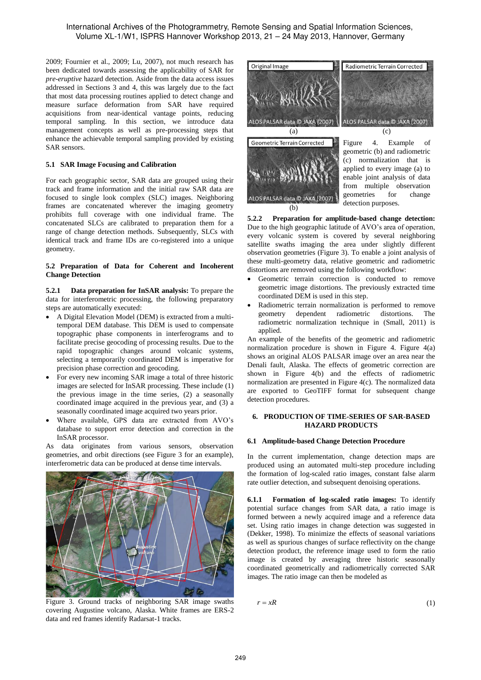2009; Fournier et al., 2009; Lu, 2007), not much research has been dedicated towards assessing the applicability of SAR for *pre-eruptive* hazard detection. Aside from the data access issues addressed in Sections 3 and 4, this was largely due to the fact that most data processing routines applied to detect change and measure surface deformation from SAR have required acquisitions from near-identical vantage points, reducing temporal sampling. In this section, we introduce data management concepts as well as pre-processing steps that enhance the achievable temporal sampling provided by existing SAR sensors.

## **5.1 SAR Image Focusing and Calibration**

For each geographic sector, SAR data are grouped using their track and frame information and the initial raw SAR data are focused to single look complex (SLC) images. Neighboring frames are concatenated wherever the imaging geometry prohibits full coverage with one individual frame. The concatenated SLCs are calibrated to preparation them for a range of change detection methods. Subsequently, SLCs with identical track and frame IDs are co-registered into a unique geometry.

## **5.2 Preparation of Data for Coherent and Incoherent Change Detection**

**5.2.1 Data preparation for InSAR analysis:** To prepare the data for interferometric processing, the following preparatory steps are automatically executed:

- A Digital Elevation Model (DEM) is extracted from a multitemporal DEM database. This DEM is used to compensate topographic phase components in interferograms and to facilitate precise geocoding of processing results. Due to the rapid topographic changes around volcanic systems, selecting a temporarily coordinated DEM is imperative for precision phase correction and geocoding.
- For every new incoming SAR image a total of three historic images are selected for InSAR processing. These include (1) the previous image in the time series, (2) a seasonally coordinated image acquired in the previous year, and (3) a seasonally coordinated image acquired two years prior.
- Where available, GPS data are extracted from AVO's database to support error detection and correction in the InSAR processor.

As data originates from various sensors, observation geometries, and orbit directions (see Figure 3 for an example), interferometric data can be produced at dense time intervals.



Figure 3. Ground tracks of neighboring SAR image swaths covering Augustine volcano, Alaska. White frames are ERS-2 data and red frames identify Radarsat-1 tracks.



enable joint analysis of data from multiple observation geometries for change ALOS PALSAR data  $\odot$  JAXA (2007)  $\downarrow$  detection purposes.

**5.2.2 Preparation for amplitude-based change detection:** Due to the high geographic latitude of AVO's area of operation, every volcanic system is covered by several neighboring satellite swaths imaging the area under slightly different observation geometries (Figure 3). To enable a joint analysis of these multi-geometry data, relative geometric and radiometric distortions are removed using the following workflow:

- Geometric terrain correction is conducted to remove geometric image distortions. The previously extracted time coordinated DEM is used in this step.
- Radiometric terrain normalization is performed to remove geometry dependent radiometric distortions. The radiometric normalization technique in (Small, 2011) is applied.

An example of the benefits of the geometric and radiometric normalization procedure is shown in Figure 4. Figure 4(a) shows an original ALOS PALSAR image over an area near the Denali fault, Alaska. The effects of geometric correction are shown in Figure 4(b) and the effects of radiometric normalization are presented in Figure 4(c). The normalized data are exported to GeoTIFF format for subsequent change detection procedures.

#### **6. PRODUCTION OF TIME-SERIES OF SAR-BASED HAZARD PRODUCTS**

## **6.1 Amplitude-based Change Detection Procedure**

In the current implementation, change detection maps are produced using an automated multi-step procedure including the formation of log-scaled ratio images, constant false alarm rate outlier detection, and subsequent denoising operations.

**6.1.1 Formation of log-scaled ratio images:** To identify potential surface changes from SAR data, a ratio image is formed between a newly acquired image and a reference data set. Using ratio images in change detection was suggested in (Dekker, 1998). To minimize the effects of seasonal variations as well as spurious changes of surface reflectivity on the change detection product, the reference image used to form the ratio image is created by averaging three historic seasonally coordinated geometrically and radiometrically corrected SAR images. The ratio image can then be modeled as

$$
r = xR \tag{1}
$$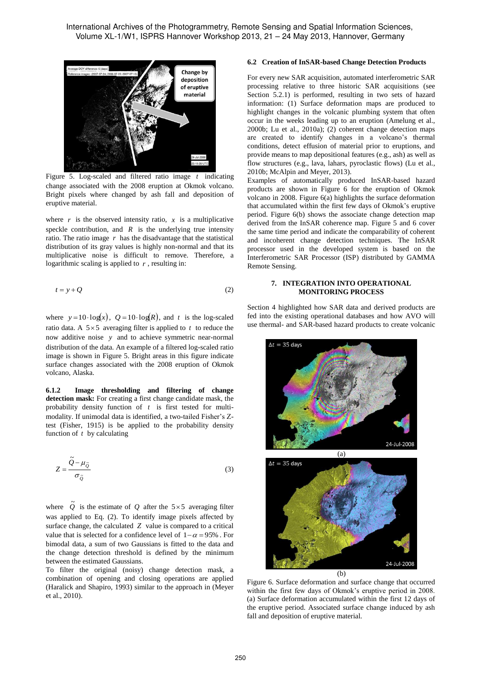

Figure 5. Log-scaled and filtered ratio image *t* indicating change associated with the 2008 eruption at Okmok volcano. Bright pixels where changed by ash fall and deposition of eruptive material.

where  $r$  is the observed intensity ratio,  $x$  is a multiplicative speckle contribution, and  $R$  is the underlying true intensity ratio. The ratio image *r* has the disadvantage that the statistical distribution of its gray values is highly non-normal and that its multiplicative noise is difficult to remove. Therefore, a logarithmic scaling is applied to *r* , resulting in:

$$
t = y + Q \tag{2}
$$

where  $y=10 \cdot \log(x)$ ,  $Q=10 \cdot \log(R)$ , and t is the log-scaled ratio data. A  $5 \times 5$  averaging filter is applied to  $t$  to reduce the now additive noise *y* and to achieve symmetric near-normal distribution of the data. An example of a filtered log-scaled ratio image is shown in Figure 5. Bright areas in this figure indicate surface changes associated with the 2008 eruption of Okmok volcano, Alaska.

**6.1.2 Image thresholding and filtering of change detection mask:** For creating a first change candidate mask, the probability density function of *t* is first tested for multimodality. If unimodal data is identified, a two-tailed Fisher's Ztest (Fisher, 1915) is be applied to the probability density function of *t* by calculating

$$
Z = \frac{\tilde{Q} - \mu_{\tilde{Q}}}{\sigma_{\tilde{Q}}}
$$
 (3)

where  $\tilde{Q}$  is the estimate of  $Q$  after the 5×5 averaging filter was applied to Eq. (2). To identify image pixels affected by surface change, the calculated *Z* value is compared to a critical value that is selected for a confidence level of  $1-\alpha = 95\%$ . For bimodal data, a sum of two Gaussians is fitted to the data and the change detection threshold is defined by the minimum between the estimated Gaussians.

To filter the original (noisy) change detection mask, a combination of opening and closing operations are applied (Haralick and Shapiro, 1993) similar to the approach in (Meyer et al., 2010).

## **6.2 Creation of InSAR-based Change Detection Products**

For every new SAR acquisition, automated interferometric SAR processing relative to three historic SAR acquisitions (see Section 5.2.1) is performed, resulting in two sets of hazard information: (1) Surface deformation maps are produced to highlight changes in the volcanic plumbing system that often occur in the weeks leading up to an eruption (Amelung et al., 2000b; Lu et al., 2010a); (2) coherent change detection maps are created to identify changes in a volcano's thermal conditions, detect effusion of material prior to eruptions, and provide means to map depositional features (e.g., ash) as well as flow structures (e.g., lava, lahars, pyroclastic flows) (Lu et al., 2010b; McAlpin and Meyer, 2013).

Examples of automatically produced InSAR-based hazard products are shown in Figure 6 for the eruption of Okmok volcano in 2008. Figure 6(a) highlights the surface deformation that accumulated within the first few days of Okmok's eruptive period. Figure 6(b) shows the associate change detection map derived from the InSAR coherence map. Figure 5 and 6 cover the same time period and indicate the comparability of coherent and incoherent change detection techniques. The InSAR processor used in the developed system is based on the Interferometric SAR Processor (ISP) distributed by GAMMA Remote Sensing.

#### **7. INTEGRATION INTO OPERATIONAL MONITORING PROCESS**

Section 4 highlighted how SAR data and derived products are fed into the existing operational databases and how AVO will use thermal- and SAR-based hazard products to create volcanic



Figure 6. Surface deformation and surface change that occurred within the first few days of Okmok's eruptive period in 2008. (a) Surface deformation accumulated within the first 12 days of the eruptive period. Associated surface change induced by ash fall and deposition of eruptive material.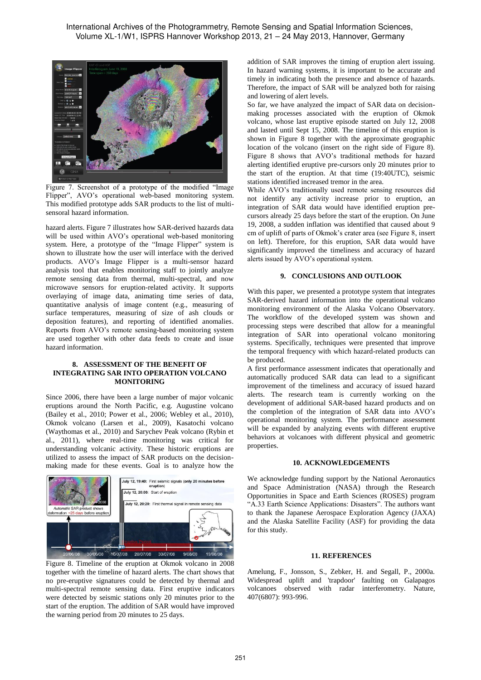

Figure 7. Screenshot of a prototype of the modified "Image Flipper", AVO's operational web-based monitoring system. This modified prototype adds SAR products to the list of multisensoral hazard information.

hazard alerts. Figure 7 illustrates how SAR-derived hazards data will be used within AVO's operational web-based monitoring system. Here, a prototype of the "Image Flipper" system is shown to illustrate how the user will interface with the derived products. AVO's Image Flipper is a multi-sensor hazard analysis tool that enables monitoring staff to jointly analyze remote sensing data from thermal, multi-spectral, and now microwave sensors for eruption-related activity. It supports overlaying of image data, animating time series of data, quantitative analysis of image content (e.g., measuring of surface temperatures, measuring of size of ash clouds or deposition features), and reporting of identified anomalies. Reports from AVO's remote sensing-based monitoring system are used together with other data feeds to create and issue hazard information.

#### **8. ASSESSMENT OF THE BENEFIT OF INTEGRATING SAR INTO OPERATION VOLCANO MONITORING**

Since 2006, there have been a large number of major volcanic eruptions around the North Pacific, e.g. Augustine volcano (Bailey et al., 2010; Power et al., 2006; Webley et al., 2010), Okmok volcano (Larsen et al., 2009), Kasatochi volcano (Waythomas et al., 2010) and Sarychev Peak volcano (Rybin et al., 2011), where real-time monitoring was critical for understanding volcanic activity. These historic eruptions are utilized to assess the impact of SAR products on the decisionmaking made for these events. Goal is to analyze how the



Figure 8. Timeline of the eruption at Okmok volcano in 2008 together with the timeline of hazard alerts. The chart shows that no pre-eruptive signatures could be detected by thermal and multi-spectral remote sensing data. First eruptive indicators were detected by seismic stations only 20 minutes prior to the start of the eruption. The addition of SAR would have improved the warning period from 20 minutes to 25 days.

addition of SAR improves the timing of eruption alert issuing. In hazard warning systems, it is important to be accurate and timely in indicating both the presence and absence of hazards. Therefore, the impact of SAR will be analyzed both for raising and lowering of alert levels.

So far, we have analyzed the impact of SAR data on decisionmaking processes associated with the eruption of Okmok volcano, whose last eruptive episode started on July 12, 2008 and lasted until Sept 15, 2008. The timeline of this eruption is shown in Figure 8 together with the approximate geographic location of the volcano (insert on the right side of Figure 8). Figure 8 shows that AVO's traditional methods for hazard alerting identified eruptive pre-cursors only 20 minutes prior to the start of the eruption. At that time (19:40UTC), seismic stations identified increased tremor in the area.

While AVO's traditionally used remote sensing resources did not identify any activity increase prior to eruption, an integration of SAR data would have identified eruption precursors already 25 days before the start of the eruption. On June 19, 2008, a sudden inflation was identified that caused about 9 cm of uplift of parts of Okmok's crater area (see Figure 8, insert on left). Therefore, for this eruption, SAR data would have significantly improved the timeliness and accuracy of hazard alerts issued by AVO's operational system.

## **9. CONCLUSIONS AND OUTLOOK**

With this paper, we presented a prototype system that integrates SAR-derived hazard information into the operational volcano monitoring environment of the Alaska Volcano Observatory. The workflow of the developed system was shown and processing steps were described that allow for a meaningful integration of SAR into operational volcano monitoring systems. Specifically, techniques were presented that improve the temporal frequency with which hazard-related products can be produced.

A first performance assessment indicates that operationally and automatically produced SAR data can lead to a significant improvement of the timeliness and accuracy of issued hazard alerts. The research team is currently working on the development of additional SAR-based hazard products and on the completion of the integration of SAR data into AVO's operational monitoring system. The performance assessment will be expanded by analyzing events with different eruptive behaviors at volcanoes with different physical and geometric properties.

## **10. ACKNOWLEDGEMENTS**

We acknowledge funding support by the National Aeronautics and Space Administration (NASA) through the Research Opportunities in Space and Earth Sciences (ROSES) program "A.33 Earth Science Applications: Disasters". The authors want to thank the Japanese Aerospace Exploration Agency (JAXA) and the Alaska Satellite Facility (ASF) for providing the data for this study.

#### **11. REFERENCES**

Amelung, F., Jonsson, S., Zebker, H. and Segall, P., 2000a. Widespread uplift and 'trapdoor' faulting on Galapagos volcanoes observed with radar interferometry. Nature, 407(6807): 993-996.